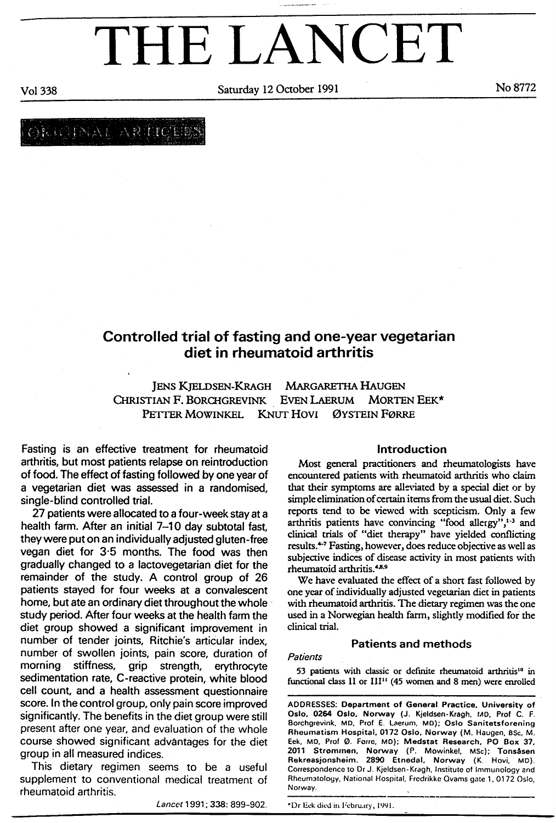# THE LANCET

Saturday 12 October 1991 No 8772

Vo1 338

RICINAL ARTICERS

# Controlled trial of fasting and one-year vegetarian diet in rheumatoid arthritis

JENS KJELDSEN-KRAGH MARGARETHA HAUGEN CHRISTIAN F. BORCHGREVINK EVEN LAERUM MORTEN EEK\* PETTER MOWINKEL KNUT HOVI ØYSTEIN FØRRE

Fasting is an effective treatment for rheumatoid arthritis, but most patients relapse on reintroduction of food. The effect of fasting followed by one year of a vegetarian diet was assessed in a randomised, single-blind controlled trial.

27 patients were allocated to a four-week stay at a health farm. After an initial 7-10 day subtotal fast, they were put on an individually adjusted gluten-free vegan diet for 3'5 months. The food was then gradually changed to a lactovegetarian diet for the remainder of the study. A control group of 26 patients stayed for four weeks at a convalescent home, but ate an ordinary diet throughout the whole study period. After four weeks at the health farm the diet group showed a significant improvement in number of tender joints, Ritchie's articular index, number of swollen joints, pain score, duration of morning stiffness, grip strength, erythrocyte sedimentation rate, C-reactive protein, white blood cell count, and a health assessment questionnaire score. ln the control group, only pain score improved significantly. The benefits in the diet group were still present after one year, and evaluation of the whole course showed significant advantages for the diet group in allmeasured indices.

This dietary regimen seems to be a useful supplement to conventional medical treatment of rheumatoid arthritis.

Lancet 1991; 338: 899-902.

## lntroduction

Most general practitioners and rheumatologists have encountered patients with rheumatoid arthritis who claim that their symptoms are alleviated by a special diet or by simple elimination of certain iterns from the usual diet. Such reports tend to be viewcd w:th scepticism. Only a few arthritis patients have convincing "food allergy", $1-3$  and clinical trials of "diet therapy" have yielded conllicting results.<sup>4-7</sup> Fasting, however, does reduce objective as well as subjective indices of disease activiry in most paricnts with rheumatoid arthritis.<sup>4,8,9</sup>

We have evaluated the effect of a short fast followed by one year of individually adjusted vegetarian diet in patients with rheumatoid arthritis. The dietary regimen was the one used in a Norwegian health farm, slightly modified for the clinical trial.

# Patients and methods

#### **Patients**

53 patients with classic or definite rheumatoid arthritis<sup>10</sup> in functional class II or  $III^{11}$  (45 women and 8 men) were enrolled

ADORESSES: Department of General Practice, University of Oslo, 0264 Oslo, Norway (J. Kjeldsen-Kragh, MD, Prof C. F. Borchgrevink, MD, Prof E. Laerum, MD); Oslo Sanitetsforening Rheumatism Hospital, 0173 Oslo, Norway (M. Haugen, 8Sc, M. Eek. Mo, Prol @. Fone, Mo); Medstat Research, PO Box 37. 2011 Strommen, Norway (P. Mowinkel, MSc); Tonsåsen Rokreasjonsheim. 289O Etnedal, Norway (K. Hovi, Mo). Correspondence to Dr J. Kjeldsen-Kragh, Institute of Immunology and Rheumatology, National Hospital, Fredrikke Qvams gate 1, 0172 Oslo, Norway.

'Dr Iick dicd irr Ircbrury, 1991.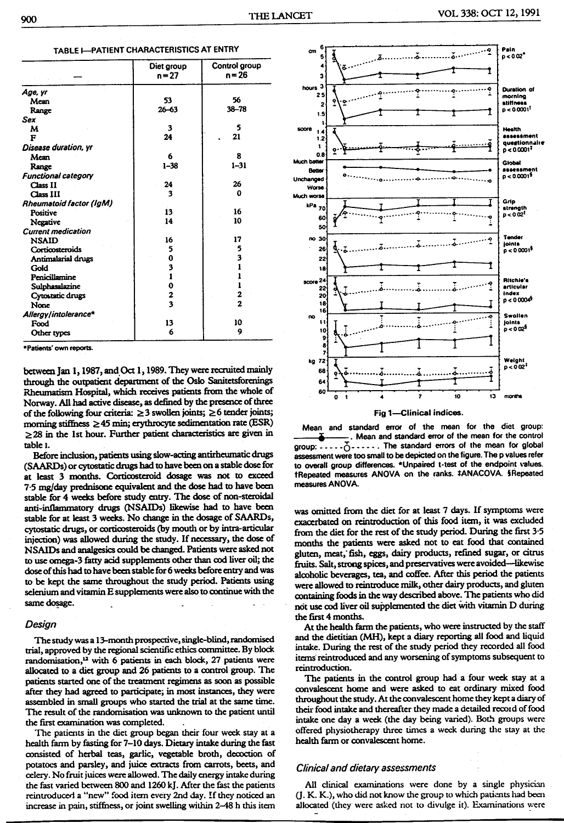|                            | Diet group<br>$n = 27$ | Control group<br>n = 26 |  |  |
|----------------------------|------------------------|-------------------------|--|--|
| Age, yr                    |                        |                         |  |  |
| Mean                       | 53                     | 56                      |  |  |
| Range                      | $26 - 63$              | $38 - 78$               |  |  |
| Sex                        |                        |                         |  |  |
| м                          | 3                      | 5                       |  |  |
| F                          | 24                     | 21                      |  |  |
| Disease duration, yr       |                        |                         |  |  |
| Mem                        | 6                      | 8                       |  |  |
| Range                      | $1 - 38$               | $1 - 31$                |  |  |
| <b>Functional category</b> |                        |                         |  |  |
| Class II                   | 24                     | 26                      |  |  |
| Class III                  | 3                      | 0                       |  |  |
| Rheumatoid factor (IgM)    |                        |                         |  |  |
| Positive                   | 13                     | 16                      |  |  |
| Negative                   | 14                     | 10                      |  |  |
| <b>Current medication</b>  |                        |                         |  |  |
| <b>NSAID</b>               | 16                     | 17                      |  |  |
| Corticosteroids            | 5                      | 5                       |  |  |
| Antimalarial drugs         | 0                      | 3                       |  |  |
| Gold                       | 3                      | ı                       |  |  |
| Penicillamine              | $\mathbf{I}$           |                         |  |  |
| Sulphasalazine             | 0                      | ı                       |  |  |
| Cytostatic drugs           | 2                      | 2                       |  |  |
| None                       | 3                      | $\overline{a}$          |  |  |
| Allergy/intolerance*       |                        |                         |  |  |
| Food                       | 13                     | 10                      |  |  |
| Other types                | 6                      | 9                       |  |  |

TABLE L-PATIENT CHARACTERISTICS AT ENTRY

\*Patients' own reports.

between Jan 1, 1987, and Oct 1, 1989. They were recruited mainly through the outpatient department of the Oslo Sanitetsforenings Rheumatism Hospital, which receives patients from the whole of Norway. All had active disease, as defined by the presence of three of the following four criteria:  $\geq 3$  swollen joints;  $\geq 6$  tender joints; morning stiffness  $\geq$  45 min; erythrocyte sedimentation rate (ESR)  $\geq$  28 in the 1st hour. Further patient characteristics are given in table 1.

Before inclusion, patients using slow-acting antirheumatic drugs (SAARDs) or cytostatic drugs had to have been on a stable dose for at least 3 months. Corticosteroid dosage was not to exceed 7.5 mg/day prednisone equivalent and the dose had to have been stable for 4 weeks before study entry. The dose of non-steroidal anti-inflammatory drugs (NSAIDs) likewise had to have been stable for at least 3 weeks. No change in the dosage of SAARDs, cytostatic drugs, or corticosteroids (by mouth or by intra-articular injection) was allowed during the study. If necessary, the dose of NSAIDs and analgesics could be changed. Patients were asked not to use omega-3 fatty acid supplements other than cod liver oil; the dose of this had to have been stable for 6 weeks before entry and was to be kept the same throughout the study period. Patients using selenium and vitamin E supplements were also to continue with the same dosage.

#### Design

The study was a 13-month prospective, single-blind, randomised trial, approved by the regional scientific ethics committee. By block randomisation,<sup>12</sup> with 6 patients in each block, 27 patients were allocated to a diet group and 26 patients to a control group. The patients started one of the treatment regimens as soon as possible after they had agreed to participate; in most instances, they were assembled in small groups who started the trial at the same time. The result of the randomisation was unknown to the patient until the first examination was completed.

The patients in the diet group began their four week stay at a health farm by fasting for 7-10 days. Dietary intake during the fast consisted of herbal teas, garlic, vegetable broth, decoction of potatoes and parsley, and juice extracts from carrots, beets, and celery. No fruit juices were allowed. The daily energy intake during the fast varied between 800 and 1260 kJ. After the fast the patients reintroduced a "new" food item every 2nd day. If they noticed an increase in pain, stiffness, or joint swelling within 2–48 h this item



and standard error of the mean for the diet group:

Mean

. Mean and standard error of the mean for the control assessment were too small to be depicted on the figure. The p values refer to overall group differences. \*Unpaired t-test of the endpoint values. tRepeated measures ANOVA on the ranks. #ANACOVA. 5Repeated measures ANOVA.

was omitted from the diet for at least 7 days. If symptoms were exacerbated on reintroduction of this food item, it was excluded from the diet for the rest of the study period. During the first 3.5 months the patients were asked not to eat food that contained gluten, meat, fish, eggs, dairy products, refined sugar, or citrus fruits. Salt, strong spices, and preservatives were avoided-likewise alcoholic beverages, tea, and coffee. After this period the patients were allowed to reintroduce milk, other dairy products, and gluten containing foods in the way described above. The patients who did not use cod liver oil supplemented the diet with vitamin D during the first 4 months.

At the health farm the patients, who were instructed by the staff and the dietitian (MH), kept a diary reporting all food and liquid intake. During the rest of the study period they recorded all food items reintroduced and any worsening of symptoms subsequent to reintroduction.

The patients in the control group had a four week stay at a convalescent home and were asked to eat ordinary mixed food throughout the study. At the convalescent home they kept a diary of their food intake and thereafter they made a detailed record of food intake one day a week (the day being varied). Both groups were offered physiotherapy three times a week during the stay at the health farm or convalescent home.

#### Clinical and dietary assessments

All clinical examinations were done by a single physician (J. K. K.), who did not know the group to which patients had been allocated (they were asked not to divulge it). Examinations were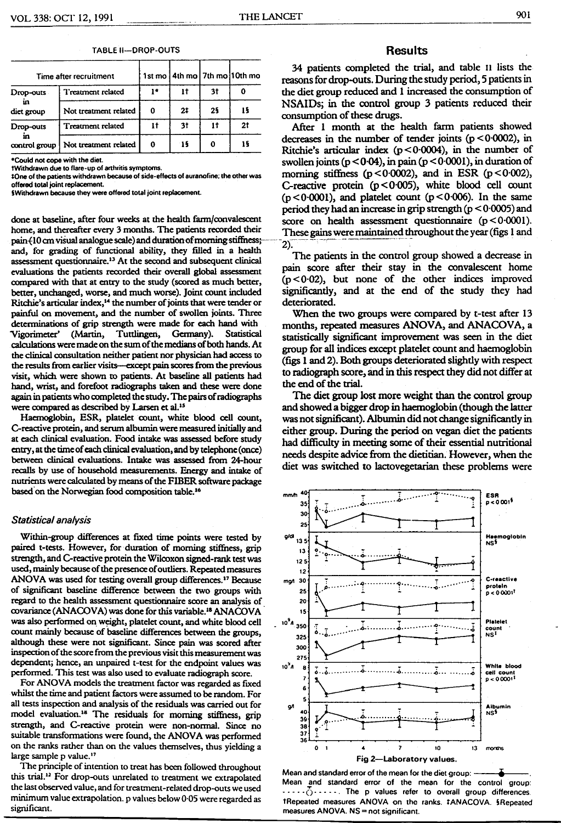|                                                                                | Time after recruitment |    |     |    | 1st mo   4th mo   7th mo   10th mo |
|--------------------------------------------------------------------------------|------------------------|----|-----|----|------------------------------------|
| Drop-outs<br>m<br>dict group                                                   | Treatment related      | ı٠ | Ħ   | 3t |                                    |
|                                                                                | Not treatment related  | 0  | 2‡  | 25 |                                    |
| Treatment related<br>Drop-outs<br>in<br>Not treatment related<br>control group | 11                     | 3t | 11  |    |                                    |
|                                                                                |                        | 0  | -15 | 0  | 15                                 |

#### **TABLE II-DROP-OUTS**

\*Could not cope with the diet.

tWithdrawn due to flare-up of arthritis symptoms.

‡One of the patients withdrawn because of side-effects of auranofine; the other was offered total joint replacement.

**SWithdrawn because they were offered total joint replacement.** 

done at baseline, after four weeks at the health farm/convalescent home, and thereafter every 3 months. The patients recorded their pain (10 cm visual analogue scale) and duration of morning stiffness; and, for grading of functional ability, they filled in a health assessment questionnaire.<sup>13</sup> At the second and subsequent clinical evaluations the patients recorded their overall global assessment compared with that at entry to the study (scored as much better, better, unchanged, worse, and much worse). Joint count included Ritchie's articular index,<sup>14</sup> the number of joints that were tender or painful on movement, and the number of swollen joints. Three determinations of grip strength were made for each hand with Vigorimeter' (Martin, Tuttlingen, Germany). Statistical calculations were made on the sum of the medians of both hands. At the clinical consultation neither patient nor physician had access to the results from earlier visits—except pain scores from the previous visit, which were shown to patients. At baseline all patients had hand, wrist, and forefoot radiographs taken and these were done again in patients who completed the study. The pairs of radiographs were compared as described by Larsen et al.<sup>15</sup>

Haemoglobin, ESR, platelet count, white blood cell count, C-reactive protein, and serum albumin were measured initially and at each clinical evaluation. Food intake was assessed before study entry, at the time of each clinical evaluation, and by telephone (once) between clinical evaluations. Intake was assessed from 24-hour recalls by use of household measurements. Energy and intake of nutrients were calculated by means of the FIBER software package based on the Norwegian food composition table.<sup>16</sup>

#### Statistical analysis

Within-group differences at fixed time points were tested by paired t-tests. However, for duration of morning stiffness, grip strength, and C-reactive protein the Wilcoxon signed-rank test was used, mainly because of the presence of outliers. Repeated measures ANOVA was used for testing overall group differences.<sup>17</sup> Because of significant baseline difference between the two groups with regard to the health assessment questionnaire score an analysis of covariance (ANACOVA) was done for this variable.<sup>18</sup> ANACOVA was also performed on weight, platelet count, and white blood cell count mainly because of baseline differences between the groups, although these were not significant. Since pain was scored after inspection of the score from the previous visit this measurement was dependent; hence, an unpaired t-test for the endpoint values was performed. This test was also used to evaluate radiograph score.

For ANOVA models the treatment factor was regarded as fixed whilst the time and patient factors were assumed to be random. For all tests inspection and analysis of the residuals was carried out for model evaluation.<sup>18</sup> The residuals for morning stiffness, grip strength, and C-reactive protein were non-normal. Since no suitable transformations were found, the ANOVA was performed on the ranks rather than on the values themselves, thus vielding a large sample p value.<sup>17</sup>

The principle of intention to treat has been followed throughout this trial.<sup>12</sup> For drop-outs unrelated to treatment we extrapolated the last observed value, and for treatment-related drop-outs we used minimum value extrapolation. p values below 0.05 were regarded as significant.

### **Results**

34 patients completed the trial, and table 11 lists the reasons for drop-outs. During the study period, 5 patients in the diet group reduced and 1 increased the consumption of NSAIDs; in the control group 3 patients reduced their consumption of these drugs.

After 1 month at the health farm patients showed decreases in the number of tender joints ( $p < 0.0002$ ), in Ritchie's articular index  $(p < 0.0004)$ , in the number of swollen joints ( $p < 0.04$ ), in pain ( $p < 0.0001$ ), in duration of morning stiffness ( $p < 0.0002$ ), and in ESR ( $p < 0.002$ ), C-reactive protein  $(p < 0.005)$ , white blood cell count  $(p < 0.0001)$ , and platelet count  $(p < 0.006)$ . In the same period they had an increase in grip strength ( $p < 0.0005$ ) and score on health assessment questionnaire  $(p < 0.0001)$ . These gains were maintained throughout the year (figs 1 and  $2)$ .

The patients in the control group showed a decrease in pain score after their stay in the convalescent home  $(p < 0.02)$ , but none of the other indices improved significantly, and at the end of the study they had deteriorated.

When the two groups were compared by t-test after 13 months, repeated measures ANOVA, and ANACOVA, a statistically significant improvement was seen in the diet group for all indices except platelet count and haemoglobin (figs 1 and 2). Both groups deteriorated slightly with respect to radiograph score, and in this respect they did not differ at the end of the trial.

The diet group lost more weight than the control group and showed a bigger drop in haemoglobin (though the latter was not significant). Albumin did not change significantly in either group. During the period on vegan diet the patients had difficulty in meeting some of their essential nutritional needs despite advice from the dietitian. However, when the diet was switched to lactovegetarian these problems were